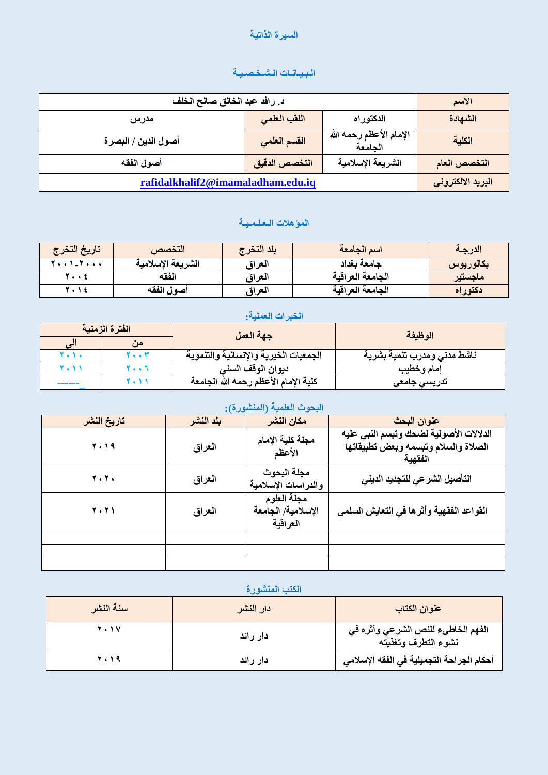#### **انضيزج انذاذيح**

## **انـثـيـاَـاخ انـشـخـصـيـح**

| د. رافد عبد الخالق صالح الخلف     |                           |                                    | الاسم             |
|-----------------------------------|---------------------------|------------------------------------|-------------------|
| مدرس                              | اللقب العلمى<br>الدكتوراه |                                    | الشهادة           |
| أصول الدين / البصرة               | القسم العلمى              | الإمام الأعظم رحمه الله<br>الجامعة | الكلية            |
| أصول الفقه                        | التخصص الدقيق             | الشريعة الإسلامية                  | التخصص العام      |
| rafidalkhalif2@imamaladham.edu.iq |                           |                                    | البريد الالكتروني |

# المؤهلات الـعلـمـيــة

| تاريخ التخرج    | التخصص            | بلد التخر ج | اسم الجامعة       | الدرجة    |
|-----------------|-------------------|-------------|-------------------|-----------|
| * * * 1-7 * * * | الشريعة الإسلامية | العراق      | جامعة بغداد       | بكالوريوس |
| 7 ź             | الفقه             | العراق      | الجامعة العر اقية | ماجستير   |
| く・しも            | أصول الفقه        | العراق      | الجامعة العراقية  | دكتوراه   |

## الخبرات العملية<del>:</del>

|        | الفترة الزمنية | جهة العمل                             | الوظيفة                     |  |
|--------|----------------|---------------------------------------|-----------------------------|--|
|        | من             |                                       |                             |  |
| r      | 7. . T         | الجمعيات الخيرية والإنسانية والتنموية | ناشط مدنى ومدرب تنمية بشرية |  |
|        | $\cdots$       | ديوان الوقف السنر                     | إمام وخطيب                  |  |
| ______ |                | كلية الإمام الأعظم رحمه الله الجامعة  | تدريسي جامعي                |  |

### البحوث العلمية (المنشورة):

| تاريخ النشر | بلد النشر | مكان النشر                                    | عنوان البحث                                                                               |
|-------------|-----------|-----------------------------------------------|-------------------------------------------------------------------------------------------|
| 2019        | العراق    | مجلة كلية الإمام<br>الأعظم                    | الدلالات الأصولية لضحك وتبسم النبى عليه<br>الصلاة والسلام وتبسمه وبعض تطبيقاتها<br>الفقصة |
| 7.7.        | العراق    | مجلة البحوث<br>والدراسات الإسلامية            | التأصيل الشرعى للتجديد الدينى                                                             |
| <b>7.71</b> | العراق    | مجلة العلوم<br>الإسلامية/ الجامعة<br>العراقية | القواعد الفقهية وأثرها في التعايش السلمي                                                  |
|             |           |                                               |                                                                                           |
|             |           |                                               |                                                                                           |
|             |           |                                               |                                                                                           |

### الكتب المنشورة

| سنة النشر   | دار النشر | عنوان الكتاب                                              |
|-------------|-----------|-----------------------------------------------------------|
| <b>7.1V</b> | دار رائد  | الفهم الخاطيء للنص الشرعي وأثره في<br>نشوء التطرف وتغذيته |
| <b>7.19</b> | دار رائد  | أحكام الجراحة التجميلية في الفقه الإسلامي                 |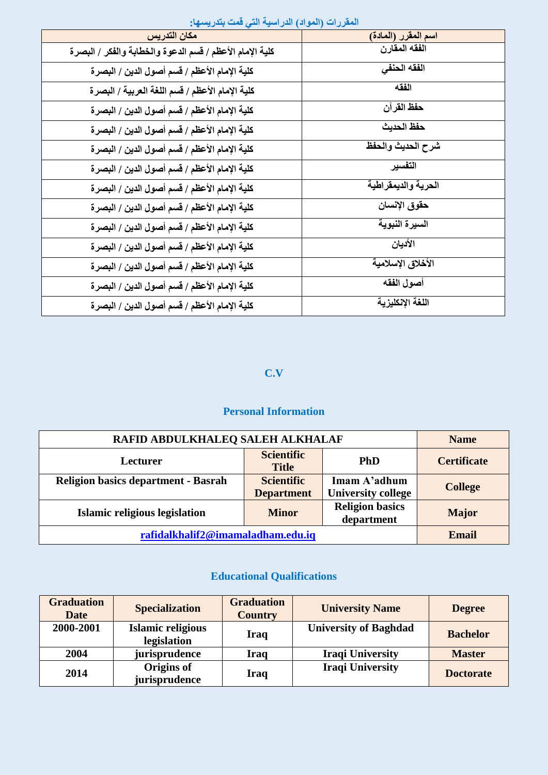| المسروات المتواتر السوائلية التي تمتع بالتواصيل          |                     |
|----------------------------------------------------------|---------------------|
| مكان التدريس                                             | اسم المقرر (المادة) |
| كلية الإمام الأعظم / قسم الدعوة والخطابة والفكر / البصرة | الفقه المقارن       |
| كلية الإمام الأعظم / قسم أصول الدين / البصرة             | الفقه الحنفى        |
| كلية الإمام الأعظم / قسم اللغة العربية / البصرة          | الفقه               |
| كلية الإمام الأعظم / قسم أصول الدين / البصر ة            | حفظ القرآن          |
| كلية الإمام الأعظم / قسم أصول الدين / البصرة             | حفظ الحديث          |
| كلية الإمام الأعظم / قسم أصول الدين / البصرة             | شرح الحديث والحفظ   |
| كلية الإمام الأعظم / قسم أصول الدين / البصر ة            | التفسير             |
| كلية الإمام الأعظم / قسم أصول الدين / البصر ة            | العرية والديمقراطية |
| كلية الإمام الأعظم / قسم أصول الدين / البصر ة            | حقوق الإنسان        |
| كلية الإمام الأعظم / قسم أصول الدين / البصرة             | السيرة النبوية      |
| كلية الإمام الأعظم / قسم أصول الدين / البصر ة            | الأديان             |
| كلية الإمام الأعظم / قسم أصول الدين / البصر ة            | الأخلاق الإسلامية   |
| كلية الإمام الأعظم / قسم أصول الدين / البصرة             | أصول الفقه          |
| كلية الإمام الأعظم / قسم أصول الدين / البصرة             | اللغة الإنكليزية    |

#### المقررات (المواد) الدراسية التي قمت بتدري*سه*ا:

#### **C.V**

### **Personal Information**

| RAFID ABDULKHALEQ SALEH ALKHALAF                                                                                                  |                                   |                | <b>Name</b>        |
|-----------------------------------------------------------------------------------------------------------------------------------|-----------------------------------|----------------|--------------------|
| <b>Lecturer</b>                                                                                                                   | <b>Scientific</b><br><b>Title</b> | <b>PhD</b>     | <b>Certificate</b> |
| <b>Scientific</b><br><b>Religion basics department - Basrah</b><br>Imam A'adhum<br><b>University college</b><br><b>Department</b> |                                   | <b>College</b> |                    |
| <b>Religion basics</b><br>Islamic religious legislation<br><b>Minor</b><br>department                                             |                                   |                | <b>Major</b>       |
| rafidalkhalif2@imamaladham.edu.iq                                                                                                 |                                   |                | <b>Email</b>       |

## **Educational Qualifications**

| <b>Graduation</b><br><b>Date</b> | <b>Specialization</b>                   | <b>Graduation</b><br><b>Country</b> | <b>University Name</b>       | <b>Degree</b>    |
|----------------------------------|-----------------------------------------|-------------------------------------|------------------------------|------------------|
| 2000-2001                        | <b>Islamic religious</b><br>legislation | Iraq                                | <b>University of Baghdad</b> | <b>Bachelor</b>  |
| 2004                             | jurisprudence                           | Iraq                                | <b>Iraqi University</b>      | <b>Master</b>    |
| 2014                             | <b>Origins of</b><br>jurisprudence      | Iraq                                | <b>Iraqi University</b>      | <b>Doctorate</b> |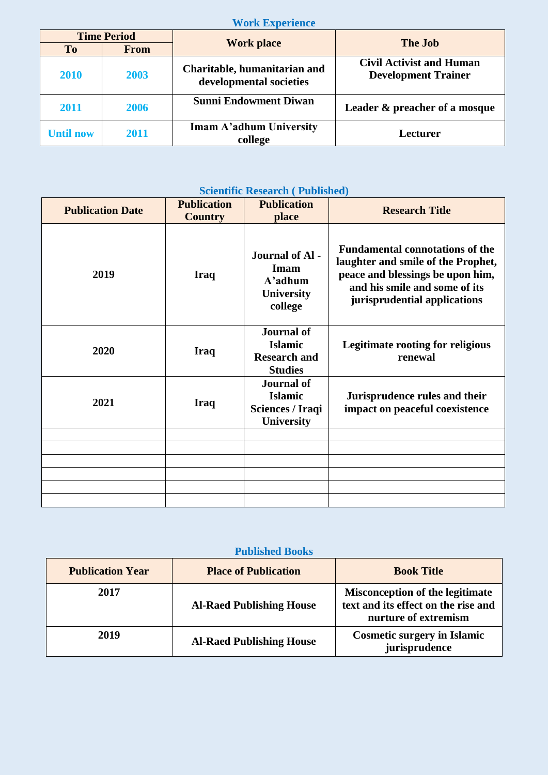### **Work Experience**

|                  | <b>Time Period</b> |                                                         | <b>The Job</b>                                                |  |
|------------------|--------------------|---------------------------------------------------------|---------------------------------------------------------------|--|
| To               | <b>From</b>        | <b>Work place</b>                                       |                                                               |  |
| 2010             | 2003               | Charitable, humanitarian and<br>developmental societies | <b>Civil Activist and Human</b><br><b>Development Trainer</b> |  |
| 2011             | 2006               | <b>Sunni Endowment Diwan</b>                            | Leader & preacher of a mosque                                 |  |
| <b>Until now</b> | 2011               | Imam A'adhum University<br>college                      | Lecturer                                                      |  |

## **Scientific Research ( Published)**

| <b>Publication Date</b> | <b>Publication</b><br><b>Country</b> | <b>Publication</b><br>place                                                  | <b>Research Title</b>                                                                                                                                                             |
|-------------------------|--------------------------------------|------------------------------------------------------------------------------|-----------------------------------------------------------------------------------------------------------------------------------------------------------------------------------|
| 2019                    | <b>Iraq</b>                          | <b>Journal of Al-</b><br>Imam<br>$A'$ adhum<br><b>University</b><br>college  | <b>Fundamental connotations of the</b><br>laughter and smile of the Prophet,<br>peace and blessings be upon him,<br>and his smile and some of its<br>jurisprudential applications |
| 2020                    | <b>Iraq</b>                          | <b>Journal of</b><br><b>Islamic</b><br><b>Research and</b><br><b>Studies</b> | <b>Legitimate rooting for religious</b><br>renewal                                                                                                                                |
| 2021                    | <b>Iraq</b>                          | <b>Journal of</b><br><b>Islamic</b><br>Sciences / Iraqi<br><b>University</b> | Jurisprudence rules and their<br>impact on peaceful coexistence                                                                                                                   |
|                         |                                      |                                                                              |                                                                                                                                                                                   |
|                         |                                      |                                                                              |                                                                                                                                                                                   |
|                         |                                      |                                                                              |                                                                                                                                                                                   |

#### **Published Books**

| <b>Publication Year</b> | <b>Place of Publication</b>     | <b>Book Title</b>                                                                                     |
|-------------------------|---------------------------------|-------------------------------------------------------------------------------------------------------|
| 2017                    | <b>Al-Raed Publishing House</b> | <b>Misconception of the legitimate</b><br>text and its effect on the rise and<br>nurture of extremism |
| 2019                    | <b>Al-Raed Publishing House</b> | <b>Cosmetic surgery in Islamic</b><br>jurisprudence                                                   |